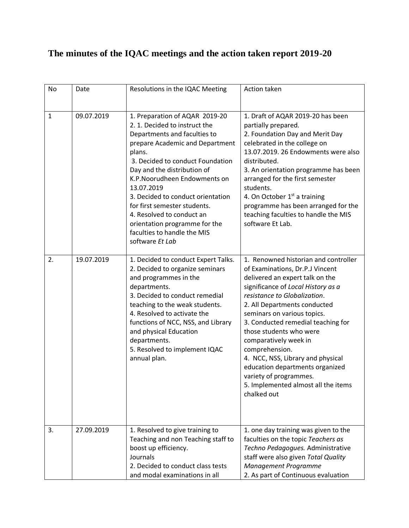## **The minutes of the IQAC meetings and the action taken report 2019-20**

| No | Date       | Resolutions in the IQAC Meeting                                                                                                                                                                                                                                                                                                                                                                                                  | Action taken                                                                                                                                                                                                                                                                                                                                                                                                                                                                                                        |
|----|------------|----------------------------------------------------------------------------------------------------------------------------------------------------------------------------------------------------------------------------------------------------------------------------------------------------------------------------------------------------------------------------------------------------------------------------------|---------------------------------------------------------------------------------------------------------------------------------------------------------------------------------------------------------------------------------------------------------------------------------------------------------------------------------------------------------------------------------------------------------------------------------------------------------------------------------------------------------------------|
| 1  | 09.07.2019 | 1. Preparation of AQAR 2019-20<br>2. 1. Decided to instruct the<br>Departments and faculties to<br>prepare Academic and Department<br>plans.<br>3. Decided to conduct Foundation<br>Day and the distribution of<br>K.P. Noorudheen Endowments on<br>13.07.2019<br>3. Decided to conduct orientation<br>for first semester students.<br>4. Resolved to conduct an<br>orientation programme for the<br>faculties to handle the MIS | 1. Draft of AQAR 2019-20 has been<br>partially prepared.<br>2. Foundation Day and Merit Day<br>celebrated in the college on<br>13.07.2019. 26 Endowments were also<br>distributed.<br>3. An orientation programme has been<br>arranged for the first semester<br>students.<br>4. On October 1 <sup>st</sup> a training<br>programme has been arranged for the<br>teaching faculties to handle the MIS<br>software Et Lab.                                                                                           |
| 2. | 19.07.2019 | software Et Lab<br>1. Decided to conduct Expert Talks.<br>2. Decided to organize seminars<br>and programmes in the<br>departments.<br>3. Decided to conduct remedial<br>teaching to the weak students.<br>4. Resolved to activate the<br>functions of NCC, NSS, and Library<br>and physical Education<br>departments.<br>5. Resolved to implement IQAC<br>annual plan.                                                           | 1. Renowned historian and controller<br>of Examinations, Dr.P.J Vincent<br>delivered an expert talk on the<br>significance of Local History as a<br>resistance to Globalization.<br>2. All Departments conducted<br>seminars on various topics.<br>3. Conducted remedial teaching for<br>those students who were<br>comparatively week in<br>comprehension.<br>4. NCC, NSS, Library and physical<br>education departments organized<br>variety of programmes.<br>5. Implemented almost all the items<br>chalked out |
| 3. | 27.09.2019 | 1. Resolved to give training to<br>Teaching and non Teaching staff to<br>boost up efficiency.<br>Journals<br>2. Decided to conduct class tests<br>and modal examinations in all                                                                                                                                                                                                                                                  | 1. one day training was given to the<br>faculties on the topic Teachers as<br>Techno Pedagogues. Administrative<br>staff were also given Total Quality<br>Management Programme<br>2. As part of Continuous evaluation                                                                                                                                                                                                                                                                                               |